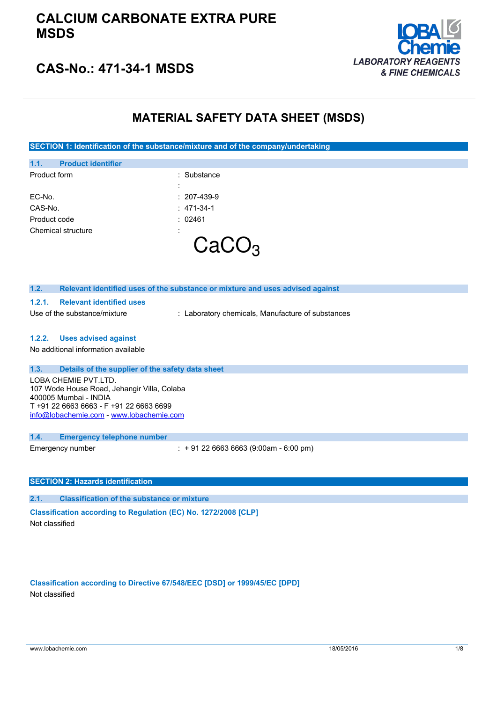

### **CAS-No.: 471-34-1 MSDS**

#### **MATERIAL SAFETY DATA SHEET (MSDS)**

 $\mathcal{Y}_\mathcal{S}$ 

**SECTION 1: Identification of the substance/mixture and of the company/undertaking**

| 1.1.         | <b>Product identifier</b> |                     |
|--------------|---------------------------|---------------------|
| Product form |                           | : Substance         |
|              |                           | :                   |
| EC-No.       |                           | $: 207 - 439 - 9$   |
| CAS-No.      |                           | $: 471-34-1$        |
| Product code |                           | : 02461             |
|              | Chemical structure        | ٠<br>$\blacksquare$ |
|              |                           |                     |
|              |                           |                     |

| 1.2.<br>Relevant identified uses of the substance or mixture and uses advised against                                                                                               |  |
|-------------------------------------------------------------------------------------------------------------------------------------------------------------------------------------|--|
| <b>Relevant identified uses</b><br>1.2.1.                                                                                                                                           |  |
| Use of the substance/mixture<br>: Laboratory chemicals, Manufacture of substances                                                                                                   |  |
|                                                                                                                                                                                     |  |
| <b>Uses advised against</b><br>1.2.2.                                                                                                                                               |  |
| No additional information available                                                                                                                                                 |  |
| 1.3.<br>Details of the supplier of the safety data sheet                                                                                                                            |  |
| LOBA CHEMIE PVT LTD.<br>107 Wode House Road, Jehangir Villa, Colaba<br>400005 Mumbai - INDIA<br>T +91 22 6663 6663 - F +91 22 6663 6699<br>info@lobachemie.com - www.lobachemie.com |  |
| 1.4.<br><b>Emergency telephone number</b>                                                                                                                                           |  |
| $\div$ + 91 22 6663 6663 (9:00am - 6:00 pm)<br>Emergency number                                                                                                                     |  |
| <b>SECTION 2: Hazards identification</b>                                                                                                                                            |  |
|                                                                                                                                                                                     |  |
| <b>Classification of the substance or mixture</b><br>2.1.                                                                                                                           |  |
| Classification according to Regulation (EC) No. 1272/2008 [CLP]                                                                                                                     |  |
| Not classified                                                                                                                                                                      |  |

**Classification according to Directive 67/548/EEC [DSD] or 1999/45/EC [DPD]** Not classified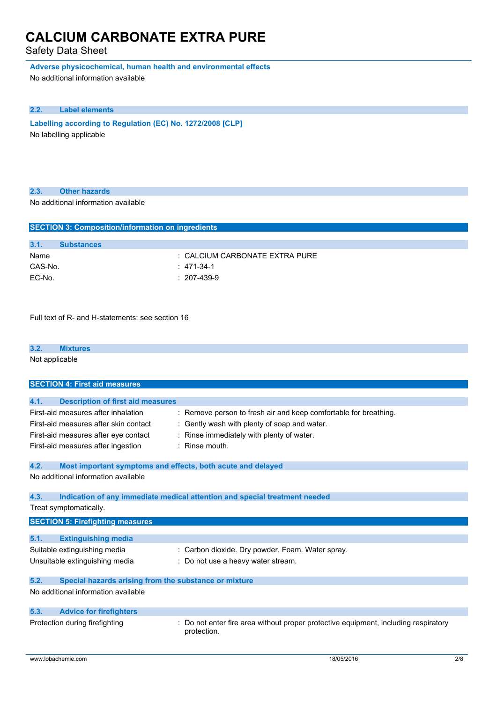Safety Data Sheet

**Adverse physicochemical, human health and environmental effects**

No additional information available

#### **2.2. Label elements**

**Labelling according to Regulation** (EC) No. 1272/2008 [CLP] No labelling applicable

#### **2.3. Other hazards**

No additional information available

| <b>SECTION 3: Composition/information on ingredients</b> |                   |                                |
|----------------------------------------------------------|-------------------|--------------------------------|
|                                                          |                   |                                |
| 3.1.                                                     | <b>Substances</b> |                                |
| Name                                                     |                   | : CALCIUM CARBONATE EXTRA PURE |
| CAS-No.                                                  |                   | $: 471-34-1$                   |
| EC-No.                                                   |                   | $: 207-439-9$                  |
|                                                          |                   |                                |
|                                                          |                   |                                |

Full text of R- and H-statements: see section 16

#### **3.2. Mixtures**

Not applicable

| <b>SECTION 4: First aid measures</b>                                                                                 |                                                                                                                                                           |
|----------------------------------------------------------------------------------------------------------------------|-----------------------------------------------------------------------------------------------------------------------------------------------------------|
|                                                                                                                      |                                                                                                                                                           |
| <b>Description of first aid measures</b><br>4.1.                                                                     |                                                                                                                                                           |
| First-aid measures after inhalation<br>First-aid measures after skin contact<br>First-aid measures after eye contact | : Remove person to fresh air and keep comfortable for breathing.<br>Gently wash with plenty of soap and water.<br>Rinse immediately with plenty of water. |
| First-aid measures after ingestion                                                                                   | $:$ Rinse mouth.                                                                                                                                          |
| 4.2.<br>Most important symptoms and effects, both acute and delayed                                                  |                                                                                                                                                           |
| No additional information available                                                                                  |                                                                                                                                                           |
| 4.3.                                                                                                                 | Indication of any immediate medical attention and special treatment needed                                                                                |
| Treat symptomatically.                                                                                               |                                                                                                                                                           |
| <b>SECTION 5: Firefighting measures</b>                                                                              |                                                                                                                                                           |
|                                                                                                                      |                                                                                                                                                           |
|                                                                                                                      |                                                                                                                                                           |
| 5.1.<br><b>Extinguishing media</b>                                                                                   |                                                                                                                                                           |
| Suitable extinguishing media<br>Unsuitable extinguishing media                                                       | : Carbon dioxide. Dry powder. Foam. Water spray.<br>Do not use a heavy water stream.                                                                      |
| 5.2.<br>Special hazards arising from the substance or mixture                                                        |                                                                                                                                                           |
| No additional information available                                                                                  |                                                                                                                                                           |
| 5.3.<br><b>Advice for firefighters</b>                                                                               |                                                                                                                                                           |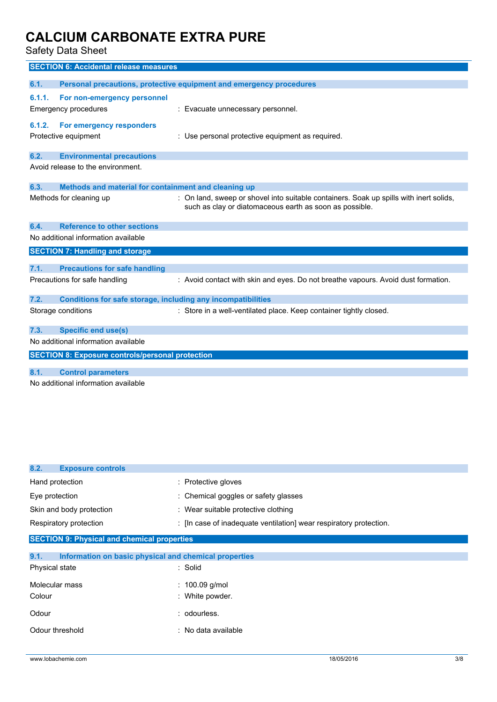Safety Data Sheet

|        | <b>SECTION 6: Accidental release measures</b>                |                                                                                        |
|--------|--------------------------------------------------------------|----------------------------------------------------------------------------------------|
| 6.1.   |                                                              | Personal precautions, protective equipment and emergency procedures                    |
|        |                                                              |                                                                                        |
| 6.1.1. | For non-emergency personnel                                  |                                                                                        |
|        | Emergency procedures                                         | : Evacuate unnecessary personnel.                                                      |
| 6.1.2. | For emergency responders                                     |                                                                                        |
|        |                                                              |                                                                                        |
|        | Protective equipment                                         | : Use personal protective equipment as required.                                       |
| 6.2.   | <b>Environmental precautions</b>                             |                                                                                        |
|        | Avoid release to the environment.                            |                                                                                        |
|        |                                                              |                                                                                        |
| 6.3.   | Methods and material for containment and cleaning up         |                                                                                        |
|        | Methods for cleaning up                                      | : On land, sweep or shovel into suitable containers. Soak up spills with inert solids, |
|        |                                                              | such as clay or diatomaceous earth as soon as possible.                                |
|        |                                                              |                                                                                        |
| 6.4.   | <b>Reference to other sections</b>                           |                                                                                        |
|        | No additional information available                          |                                                                                        |
|        | <b>SECTION 7: Handling and storage</b>                       |                                                                                        |
|        |                                                              |                                                                                        |
| 7.1.   | <b>Precautions for safe handling</b>                         |                                                                                        |
|        | Precautions for safe handling                                | : Avoid contact with skin and eyes. Do not breathe vapours. Avoid dust formation.      |
|        |                                                              |                                                                                        |
| 7.2.   | Conditions for safe storage, including any incompatibilities |                                                                                        |
|        | Storage conditions                                           | : Store in a well-ventilated place. Keep container tightly closed.                     |
|        |                                                              |                                                                                        |
| 7.3.   | <b>Specific end use(s)</b>                                   |                                                                                        |
|        | No additional information available                          |                                                                                        |
|        | <b>SECTION 8: Exposure controls/personal protection</b>      |                                                                                        |
|        |                                                              |                                                                                        |
| 8.1.   | <b>Control parameters</b>                                    |                                                                                        |
|        |                                                              |                                                                                        |

No additional information available

| 8.2.<br><b>Exposure controls</b>                              |                                                                    |  |  |  |
|---------------------------------------------------------------|--------------------------------------------------------------------|--|--|--|
| Hand protection                                               | : Protective gloves                                                |  |  |  |
| Eye protection                                                | : Chemical goggles or safety glasses                               |  |  |  |
| Skin and body protection                                      | : Wear suitable protective clothing                                |  |  |  |
| Respiratory protection                                        | : [In case of inadequate ventilation] wear respiratory protection. |  |  |  |
| <b>SECTION 9: Physical and chemical properties</b>            |                                                                    |  |  |  |
| 9.1.<br>Information on basic physical and chemical properties |                                                                    |  |  |  |
| Physical state                                                | : Solid                                                            |  |  |  |
| Molecular mass                                                | : $100.09$ g/mol                                                   |  |  |  |
| Colour                                                        | : White powder.                                                    |  |  |  |
| Odour                                                         | : odourless.                                                       |  |  |  |
| Odour threshold                                               | : No data available                                                |  |  |  |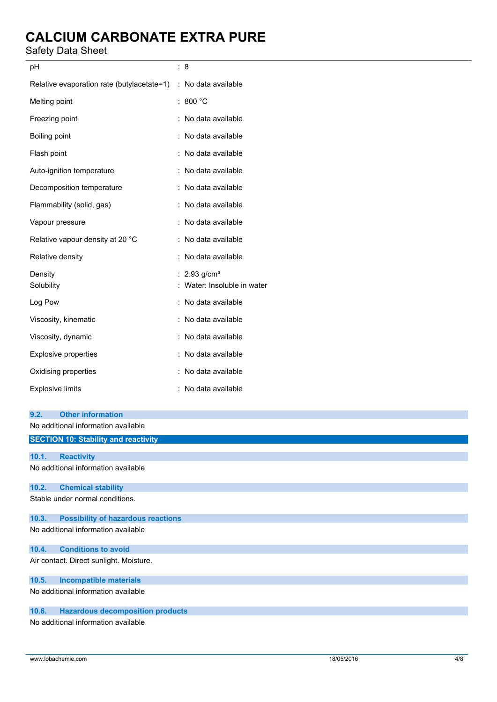#### Safety Data Sheet

| pH                                         | : 8                        |
|--------------------------------------------|----------------------------|
| Relative evaporation rate (butylacetate=1) | : No data available        |
| Melting point                              | : 800 $^{\circ}$ C         |
| Freezing point                             | : No data available        |
| Boiling point                              | : No data available        |
| Flash point                                | : No data available        |
| Auto-ignition temperature                  | : No data available        |
| Decomposition temperature                  | : No data available        |
| Flammability (solid, gas)                  | : No data available        |
| Vapour pressure                            | : No data available        |
| Relative vapour density at 20 °C           | : No data available        |
| Relative density                           | : No data available        |
| Density                                    | : $2.93$ g/cm <sup>3</sup> |
| Solubility                                 | Water: Insoluble in water  |
| Log Pow                                    | : No data available        |
| Viscosity, kinematic                       | : No data available        |
| Viscosity, dynamic                         | : No data available        |
| <b>Explosive properties</b>                | : No data available        |
| Oxidising properties                       | : No data available        |
| <b>Explosive limits</b>                    | : No data available        |
|                                            |                            |
| 9.2.<br><b>Other information</b>           |                            |

No additional information available

### **SECTION 10: Stability and reactivity 10.1. Reactivity** No additional information available **10.2. Chemical stability** Stable under normal conditions. **10.3. Possibility of hazardous reactions** No additional information available **10.4. Conditions to avoid** Air contact. Direct sunlight. Moisture. **10.5. Incompatible materials** No additional information available **10.6. Hazardous decomposition products** No additional information available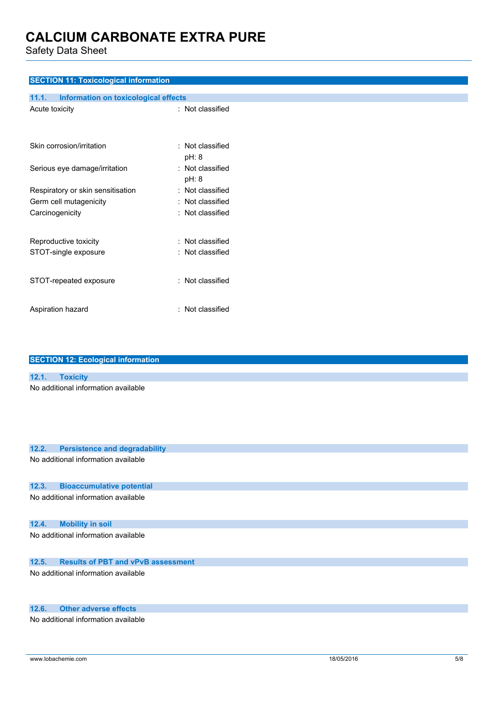Safety Data Sheet

| <b>SECTION 11: Toxicological information</b>  |                           |
|-----------------------------------------------|---------------------------|
| 11.1.<br>Information on toxicological effects |                           |
| Acute toxicity                                | : Not classified          |
| Skin corrosion/irritation                     | : Not classified          |
|                                               | pH: 8                     |
| Serious eye damage/irritation                 | : Not classified<br>pH: 8 |
| Respiratory or skin sensitisation             | : Not classified          |
| Germ cell mutagenicity                        | : Not classified          |
| Carcinogenicity                               | : Not classified          |
| Reproductive toxicity                         | : Not classified          |
| STOT-single exposure                          | : Not classified          |
| STOT-repeated exposure                        | : Not classified          |
| Aspiration hazard                             | : Not classified          |

|       | <b>SECTION 12: Ecological information</b> |  |  |
|-------|-------------------------------------------|--|--|
|       |                                           |  |  |
| 12.1. | <b>Toxicity</b>                           |  |  |
|       | No additional information available       |  |  |
| 12.2. | <b>Persistence and degradability</b>      |  |  |

# No additional information available **12.3. Bioaccumulative potential** No additional information available **12.4. Mobility in soil** No additional information available **12.5. Results of PBT and vPvB assessment**

No additional information available

#### **12.6. Other adverse effects**

No additional information available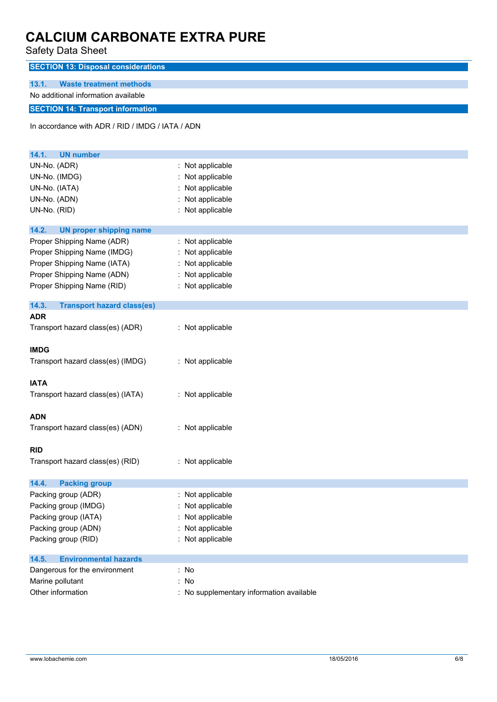Safety Data Sheet

| Salely Dala Sileel                               |                  |  |  |  |
|--------------------------------------------------|------------------|--|--|--|
| <b>SECTION 13: Disposal considerations</b>       |                  |  |  |  |
| <b>Waste treatment methods</b><br>13.1.          |                  |  |  |  |
| No additional information available              |                  |  |  |  |
| <b>SECTION 14: Transport information</b>         |                  |  |  |  |
| In accordance with ADR / RID / IMDG / IATA / ADN |                  |  |  |  |
|                                                  |                  |  |  |  |
| 14.1.<br><b>UN number</b>                        |                  |  |  |  |
| UN-No. (ADR)                                     | : Not applicable |  |  |  |
| UN-No. (IMDG)                                    | : Not applicable |  |  |  |
| UN-No. (IATA)                                    | Not applicable   |  |  |  |
| UN-No. (ADN)                                     | Not applicable   |  |  |  |
| UN-No. (RID)                                     | : Not applicable |  |  |  |
|                                                  |                  |  |  |  |
| 14.2.<br><b>UN proper shipping name</b>          |                  |  |  |  |
| Proper Shipping Name (ADR)                       | : Not applicable |  |  |  |
| Proper Shipping Name (IMDG)                      | Not applicable   |  |  |  |
| Proper Shipping Name (IATA)                      | Not applicable   |  |  |  |
| Proper Shipping Name (ADN)                       | Not applicable   |  |  |  |
| Proper Shipping Name (RID)                       | : Not applicable |  |  |  |
| 14.3.<br><b>Transport hazard class(es)</b>       |                  |  |  |  |
| <b>ADR</b>                                       |                  |  |  |  |
| Transport hazard class(es) (ADR)                 | : Not applicable |  |  |  |
| <b>IMDG</b>                                      |                  |  |  |  |
| Transport hazard class(es) (IMDG)                | : Not applicable |  |  |  |
|                                                  |                  |  |  |  |
| <b>IATA</b>                                      |                  |  |  |  |
| Transport hazard class(es) (IATA)                | : Not applicable |  |  |  |
|                                                  |                  |  |  |  |
| <b>ADN</b>                                       |                  |  |  |  |
| Transport hazard class(es) (ADN)                 | : Not applicable |  |  |  |
| <b>RID</b>                                       |                  |  |  |  |
| Transport hazard class(es) (RID)                 | : Not applicable |  |  |  |
|                                                  |                  |  |  |  |
| 14.4.<br><b>Packing group</b>                    |                  |  |  |  |
| Packing group (ADR)                              | : Not applicable |  |  |  |
| Packing group (IMDG)                             | : Not applicable |  |  |  |
| Packing group (IATA)                             | Not applicable   |  |  |  |
| Packing group (ADN)                              | : Not applicable |  |  |  |
| Packing group (RID)                              | : Not applicable |  |  |  |
| <b>Environmental hazards</b><br>14.5.            |                  |  |  |  |
| Dangerous for the environment                    | : No             |  |  |  |
| Marine pollutant                                 | : No             |  |  |  |
|                                                  |                  |  |  |  |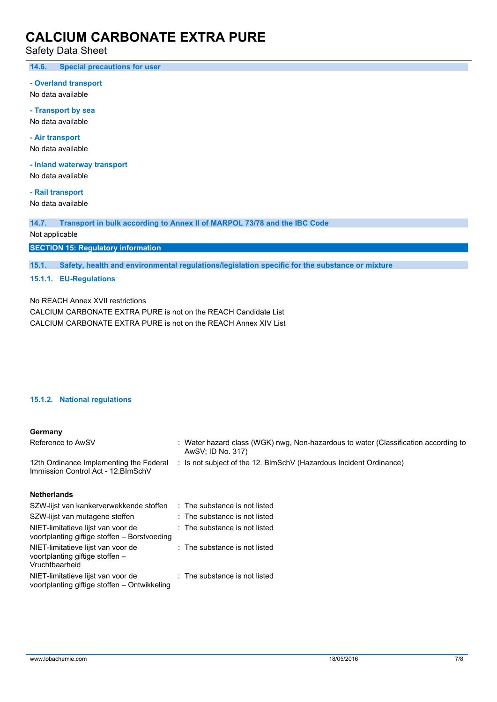Safety Data Sheet

**14.6. Special precautions for user**

#### **- Overland transport**

No data available

**- Transport by sea** No data available

**- Air transport**

No data available

**- Inland waterway transport**

No data available

**- Rail transport**

No data available

**14.7. Transport in bulk according to Annex II of MARPOL 73/78 and the IBC Code**

Not applicable

**SECTION 15: Regulatory information**

**15.1. Safety, health and environmental regulations/legislation specific for the substance or mixture**

#### **15.1.1. EU-Regulations**

No REACH Annex XVII restrictions

CALCIUM CARBONATE EXTRA PURE is not on the REACH Candidate List CALCIUM CARBONATE EXTRA PURE is not on the REACH Annex XIV List

#### **15.1.2. National regulations**

#### **Germany**

| Reference to AwSV                                                              | : Water hazard class (WGK) nwg, Non-hazardous to water (Classification according to<br>AwSV: ID No. 317) |  |  |  |  |
|--------------------------------------------------------------------------------|----------------------------------------------------------------------------------------------------------|--|--|--|--|
| 12th Ordinance Implementing the Federal<br>Immission Control Act - 12. BlmSchV | : Is not subject of the 12. BlmSchV (Hazardous Incident Ordinance)                                       |  |  |  |  |
| <b>Netherlands</b>                                                             |                                                                                                          |  |  |  |  |
| SZW-lijst van kankerverwekkende stoffen                                        | : The substance is not listed                                                                            |  |  |  |  |
| SZW-lijst van mutagene stoffen                                                 | : The substance is not listed                                                                            |  |  |  |  |
|                                                                                |                                                                                                          |  |  |  |  |

| NIET-limitatieve lijst van voor de<br>voortplanting giftige stoffen - Borstvoeding      | : The substance is not listed |
|-----------------------------------------------------------------------------------------|-------------------------------|
| NIET-limitatieve lijst van voor de<br>voortplanting giftige stoffen -<br>Vruchtbaarheid | : The substance is not listed |
| NIET-limitatieve lijst van voor de<br>voortplanting giftige stoffen - Ontwikkeling      | : The substance is not listed |